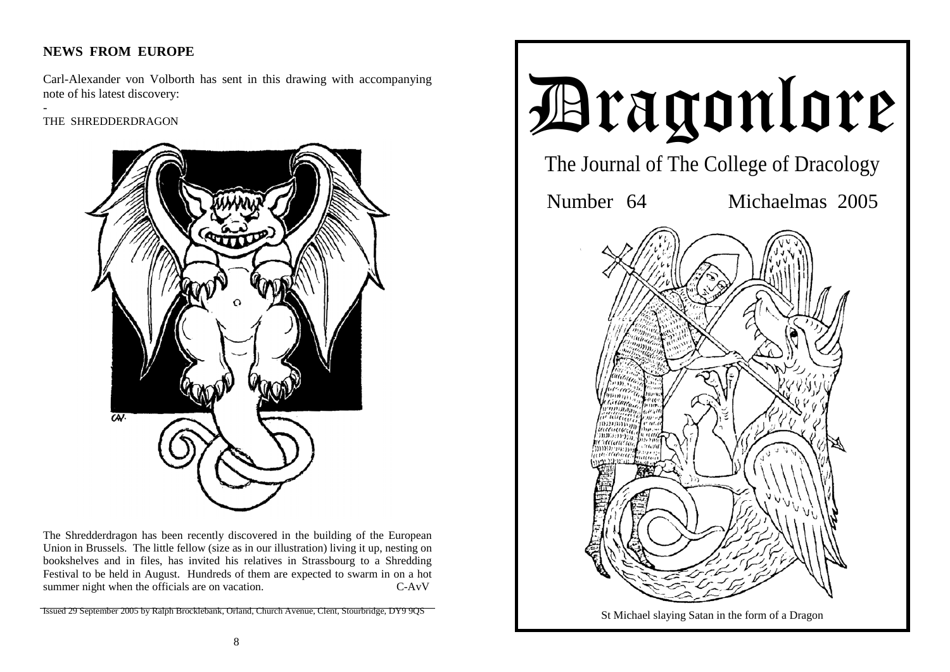# **NEWS FROM EUROPE**

Carl-Alexander von Volborth has sent in this drawing with accompanying note of his latest discovery:

THE SHREDDERDRAGON

-



The Shredderdragon has been recently discovered in the building of the European Union in Brussels. The little fellow (size as in our illustration) living it up, nesting on bookshelves and in files, has invited his relatives in Strassbourg to a Shredding Festival to be held in August. Hundreds of them are expected to swarm in on a hot summer night when the officials are on vacation. C-AvV

Issued 29 September 2005 by Ralph Brocklebank, Orland, Church Avenue, Clent, Stourbridge, DY9 9QS

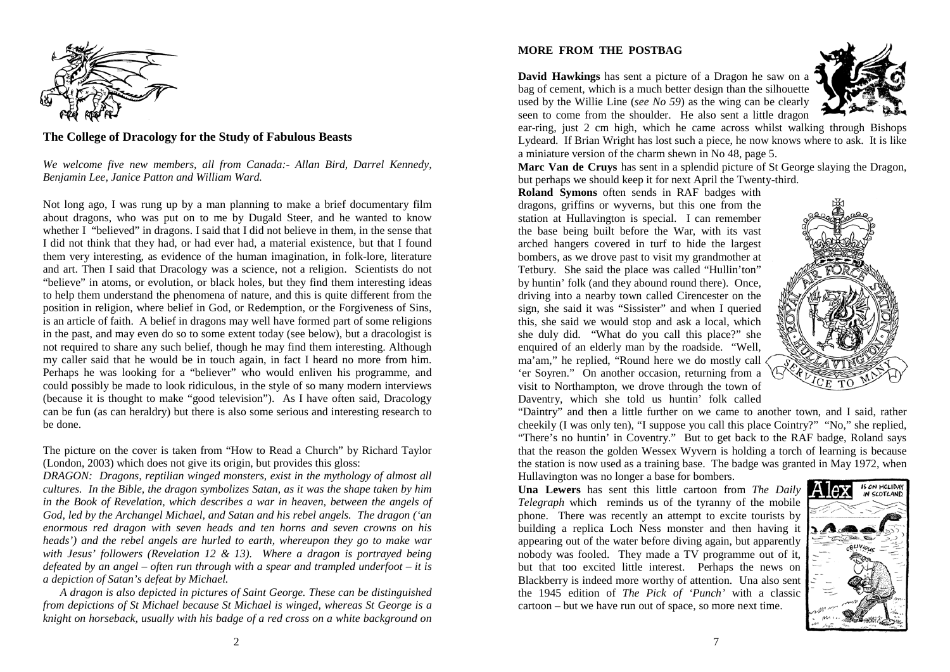

### **The College of Dracology for the Study of Fabulous Beasts**

*We welcome five new members, all from Canada:- Allan Bird, Darrel Kennedy, Benjamin Lee, Janice Patton and William Ward.* 

Not long ago, I was rung up by a man planning to make a brief documentary film about dragons, who was put on to me by Dugald Steer, and he wanted to know whether I "believed" in dragons. I said that I did not believe in them, in the sense that I did not think that they had, or had ever had, a material existence, but that I found them very interesting, as evidence of the human imagination, in folk-lore, literature and art. Then I said that Dracology was a science, not a religion. Scientists do not "believe" in atoms, or evolution, or black holes, but they find them interesting ideas to help them understand the phenomena of nature, and this is quite different from the position in religion, where belief in God, or Redemption, or the Forgiveness of Sins, is an article of faith. A belief in dragons may well have formed part of some religions in the past, and may even do so to some extent today (see below), but a dracologist is not required to share any such belief, though he may find them interesting. Although my caller said that he would be in touch again, in fact I heard no more from him. Perhaps he was looking for a "believer" who would enliven his programme, and could possibly be made to look ridiculous, in the style of so many modern interviews (because it is thought to make "good television"). As I have often said, Dracology can be fun (as can heraldry) but there is also some serious and interesting research to be done.

The picture on the cover is taken from "How to Read a Church" by Richard Taylor (London, 2003) which does not give its origin, but provides this gloss:

*DRAGON: Dragons, reptilian winged monsters, exist in the mythology of almost all cultures. In the Bible, the dragon symbolizes Satan, as it was the shape taken by him*  in the Book of Revelation, which describes a war in heaven, between the angels of *God, led by the Archangel Michael, and Satan and his rebel angels. The dragon ('an enormous red dragon with seven heads and ten horns and seven crowns on his heads')* and the rebel angels are hurled to earth, whereupon they go to make war *with Jesus' followers (Revelation 12 & 13). Where a dragon is portrayed being defeated by an angel – often run through with a spear and trampled underfoot – it is a depiction of Satan's defeat by Michael.* 

*A dragon is also depicted in pictures of Saint George. These can be distinguished from depictions of St Michael because St Michael is winged, whereas St George is a knight on horseback, usually with his badge of a red cross on a white background on* 

### **MORE FROM THE POSTBAG**

**David Hawkings** has sent a picture of a Dragon he saw on a bag of cement, which is a much better design than the silhouette used by the Willie Line (*see No 59*) as the wing can be clearly seen to come from the shoulder. He also sent a little dragon



ear-ring, just 2 cm high, which he came across whilst walking through Bishops Lydeard. If Brian Wright has lost such a piece, he now knows where to ask. It is like a miniature version of the charm shewn in No 48, page 5.

**Marc Van de Cruys** has sent in a splendid picture of St George slaying the Dragon, but perhaps we should keep it for next April the Twenty-third.

**Roland Symons** often sends in RAF badges with dragons, griffins or wyverns, but this one from the station at Hullavington is special. I can remember the base being built before the War, with its vast arched hangers covered in turf to hide the largest bombers, as we drove past to visit my grandmother at Tetbury. She said the place was called "Hullin'ton" by huntin' folk (and they abound round there). Once, driving into a nearby town called Cirencester on the sign, she said it was "Sissister" and when I queried this, she said we would stop and ask a local, which she duly did. "What do you call this place?" she enquired of an elderly man by the roadside. "Well, ma'am," he replied, "Round here we do mostly call 'er Soyren." On another occasion, returning from a visit to Northampton, we drove through the town of Daventry, which she told us huntin' folk called



"Daintry" and then a little further on we came to another town, and I said, rather cheekily (I was only ten), "I suppose you call this place Cointry?" "No," she replied, "There's no huntin' in Coventry." But to get back to the RAF badge, Roland says that the reason the golden Wessex Wyvern is holding a torch of learning is because the station is now used as a training base. The badge was granted in May 1972, when

Hullavington was no longer a base for bombers. **Una Lewers** has sent this little cartoon from *The Daily Telegraph* which reminds us of the tyranny of the mobile phone. There was recently an attempt to excite tourists by building a replica Loch Ness monster and then having it appearing out of the water before diving again, but apparently nobody was fooled. They made a TV programme out of it, but that too excited little interest. Perhaps the news on Blackberry is indeed more worthy of attention. Una also sent the 1945 edition of *The Pick of 'Punch'* with a classic cartoon – but we have run out of space, so more next time.

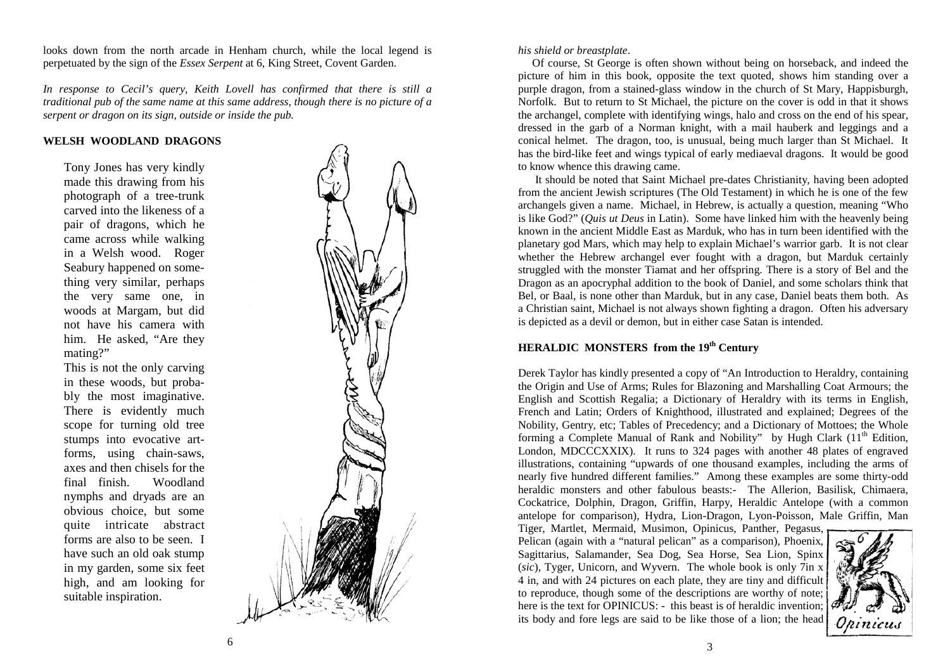looks down from the north arcade in Henham church, while the local legend is perpetuated by the sign of the *Essex Serpent* at 6, King Street, Covent Garden.

*In response to Cecil's query, Keith Lovell has confirmed that there is still a traditional pub of the same name at this same address, though there is no picture of a serpent or dragon on its sign, outside or inside the pub.* 

#### **WELSH WOODLAND DRAGONS**

Tony Jones has very kindly made this drawing from his photograph of a tree-trunk carved into the likeness of a pair of dragons, which he came across while walking in a Welsh wood. Roger Seabury happened on something very similar, perhaps the very same one, in woods at Margam, but did not have his camera with him. He asked, "Are they mating?"

This is not the only carving in these woods, but probably the most imaginative. There is evidently much scope for turning old tree stumps into evocative artforms, using chain-saws, axes and then chisels for the final finish. Woodland nymphs and dryads are an obvious choice, but some quite intricate abstract forms are also to be seen. I have such an old oak stump in my garden, some six feet high, and am looking for suitable inspiration.



#### *his shield or breastplate*.

 Of course, St George is often shown without being on horseback, and indeed the picture of him in this book, opposite the text quoted, shows him standing over a purple dragon, from a stained-glass window in the church of St Mary, Happisburgh, Norfolk. But to return to St Michael, the picture on the cover is odd in that it shows the archangel, complete with identifying wings, halo and cross on the end of his spear, dressed in the garb of a Norman knight, with a mail hauberk and leggings and a conical helmet. The dragon, too, is unusual, being much larger than St Michael. It has the bird-like feet and wings typical of early mediaeval dragons. It would be good to know whence this drawing came.

 It should be noted that Saint Michael pre-dates Christianity, having been adopted from the ancient Jewish scriptures (The Old Testament) in which he is one of the few archangels given a name. Michael, in Hebrew, is actually a question, meaning "Who is like God?" (*Quis ut Deus* in Latin). Some have linked him with the heavenly being known in the ancient Middle East as Marduk, who has in turn been identified with the planetary god Mars, which may help to explain Michael's warrior garb. It is not clear whether the Hebrew archangel ever fought with a dragon, but Marduk certainly struggled with the monster Tiamat and her offspring. There is a story of Bel and the Dragon as an apocryphal addition to the book of Daniel, and some scholars think that Bel, or Baal, is none other than Marduk, but in any case, Daniel beats them both. As a Christian saint, Michael is not always shown fighting a dragon. Often his adversary is depicted as a devil or demon, but in either case Satan is intended.

## **HERALDIC MONSTERS from the 19th Century**

Derek Taylor has kindly presented a copy of "An Introduction to Heraldry, containing the Origin and Use of Arms; Rules for Blazoning and Marshalling Coat Armours; the English and Scottish Regalia; a Dictionary of Heraldry with its terms in English, French and Latin; Orders of Knighthood, illustrated and explained; Degrees of the Nobility, Gentry, etc; Tables of Precedency; and a Dictionary of Mottoes; the Whole forming a Complete Manual of Rank and Nobility" by Hugh Clark  $(11<sup>th</sup>$  Edition, London, MDCCCXXIX). It runs to 324 pages with another 48 plates of engraved illustrations, containing "upwards of one thousand examples, including the arms of nearly five hundred different families." Among these examples are some thirty-odd heraldic monsters and other fabulous beasts:- The Allerion, Basilisk, Chimaera, Cockatrice, Dolphin, Dragon, Griffin, Harpy, Heraldic Antelope (with a common antelope for comparison), Hydra, Lion-Dragon, Lyon-Poisson, Male Griffin, Man

Tiger, Martlet, Mermaid, Musimon, Opinicus, Panther, Pegasus, Pelican (again with a "natural pelican" as a comparison), Phoenix, Sagittarius, Salamander, Sea Dog, Sea Horse, Sea Lion, Spinx (*sic*), Tyger, Unicorn, and Wyvern. The whole book is only 7in x 4 in, and with 24 pictures on each plate, they are tiny and difficult to reproduce, though some of the descriptions are worthy of note; here is the text for OPINICUS: - this beast is of heraldic invention; its body and fore legs are said to be like those of a lion; the head